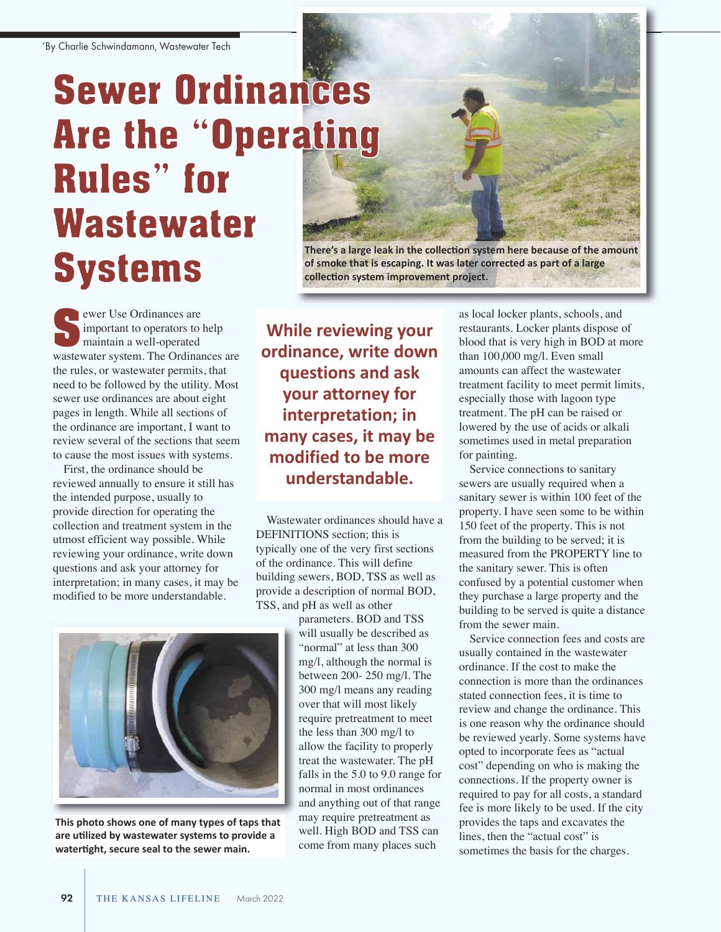## **collection system improvement project. Sewer Ordinances Are the "Operating Rules" for Wastewater Systems**

**There's a large leak in the collection system here because of the amount of smoke that is escaping. It was later corrected as part of a large** 

ewer Use Ordinances are important to operators to help maintain a well-operated **SECORDINATES**<br> **SECORDINATES**<br> **SECORDINATES**<br> **SECORDINATES**<br> **SECORDINATES**<br> **SECORDINATES**<br> **SECORDINATES**<br> **SECORDINATES**<br> **SECORDINATES**<br> **SECORDINATES** the rules, or wastewater permits, that need to be followed by the utility. Most sewer use ordinances are about eight pages in length. While all sections of the ordinance are important, I want to review several of the sections that seem to cause the most issues with systems.

First, the ordinance should be reviewed annually to ensure it still has the intended purpose, usually to provide direction for operating the collection and treatment system in the utmost efficient way possible. While reviewing your ordinance, write down questions and ask your attorney for interpretation; in many cases, it may be modified to be more understandable.

**While reviewing your ordinance, write down questions and ask your attorney for interpretation; in many cases, it may be modified to be more understandable.** 

Wastewater ordinances should have a DEFINITIONS section; this is typically one of the very first sections of the ordinance. This will define building sewers, BOD, TSS as well as provide a description of normal BOD, TSS, and pH as well as other



**This photo shows one of many types of taps that are utilized by wastewater systems to provide a watertight, secure seal to the sewer main.** 

parameters. BOD and TSS will usually be described as "normal" at less than 300 mg/l, although the normal is between 200- 250 mg/l. The 300 mg/l means any reading over that will most likely require pretreatment to meet the less than 300 mg/l to allow the facility to properly treat the wastewater. The pH falls in the 5.0 to 9.0 range for normal in most ordinances and anything out of that range may require pretreatment as well. High BOD and TSS can come from many places such

as local locker plants, schools, and restaurants. Locker plants dispose of blood that is very high in BOD at more than 100,000 mg/l. Even small amounts can affect the wastewater treatment facility to meet permit limits, especially those with lagoon type treatment. The pH can be raised or lowered by the use of acids or alkali sometimes used in metal preparation for painting.

Service connections to sanitary sewers are usually required when a sanitary sewer is within 100 feet of the property. I have seen some to be within 150 feet of the property. This is not from the building to be served; it is measured from the PROPERTY line to the sanitary sewer. This is often confused by a potential customer when they purchase a large property and the building to be served is quite a distance from the sewer main.

Service connection fees and costs are usually contained in the wastewater ordinance. If the cost to make the connection is more than the ordinances stated connection fees, it is time to review and change the ordinance. This is one reason why the ordinance should be reviewed yearly. Some systems have opted to incorporate fees as "actual cost" depending on who is making the connections. If the property owner is required to pay for all costs, a standard fee is more likely to be used. If the city provides the taps and excavates the lines, then the "actual cost" is sometimes the basis for the charges.